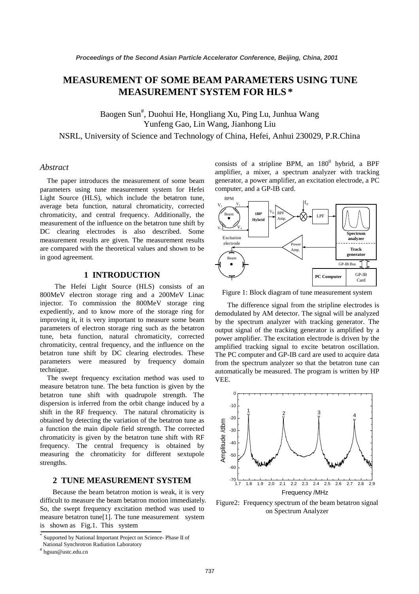# **MEASUREMENT OF SOME BEAM PARAMETERS USING TUNE MEASUREMENT SYSTEM FOR HLS \***

Baogen Sun<sup>#</sup>, Duohui He, Hongliang Xu, Ping Lu, Junhua Wang Yunfeng Gao, Lin Wang, Jianhong Liu NSRL, University of Science and Technology of China, Hefei, Anhui 230029, P.R.China

# *Abstract*

The paper introduces the measurement of some beam parameters using tune measurement system for Hefei Light Source (HLS), which include the betatron tune, average beta function, natural chromaticity, corrected chromaticity, and central frequency. Additionally, the measurement of the influence on the betatron tune shift by DC clearing electrodes is also described. Some measurement results are given. The measurement results are compared with the theoretical values and shown to be in good agreement.

### **1 INTRODUCTION**

The Hefei Light Source (HLS) consists of an 800MeV electron storage ring and a 200MeV Linac injector. To commission the 800MeV storage ring expediently, and to know more of the storage ring for improving it, it is very important to measure some beam parameters of electron storage ring such as the betatron tune, beta function, natural chromaticity, corrected chromaticity, central frequency, and the influence on the betatron tune shift by DC clearing electrodes. These parameters were measured by frequency domain technique.

The swept frequency excitation method was used to measure betatron tune. The beta function is given by the betatron tune shift with quadrupole strength. The dispersion is inferred from the orbit change induced by a shift in the RF frequency. The natural chromaticity is obtained by detecting the variation of the betatron tune as a function the main dipole field strength. The corrected chromaticity is given by the betatron tune shift with RF frequency. The central frequency is obtained by measuring the chromaticity for different sextupole strengths.

### **2 TUNE MEASUREMENT SYSTEM**

Because the beam betatron motion is weak, it is very difficult to measure the beam betatron motion immediately. So, the swept frequency excitation method was used to measure betatron tune[1]. The tune measurement system is shown as Fig.1. This system

consists of a stripline BPM, an  $180^0$  hybrid, a BPF amplifier, a mixer, a spectrum analyzer with tracking generator, a power amplifier, an excitation electrode, a PC computer, and a GP-IB card.



Figure 1: Block diagram of tune measurement system

 The difference signal from the stripline electrodes is demodulated by AM detector. The signal will be analyzed by the spectrum analyzer with tracking generator. The output signal of the tracking generator is amplified by a power amplifier. The excitation electrode is driven by the amplified tracking signal to excite betatron oscillation. The PC computer and GP-IB card are used to acquire data from the spectrum analyzer so that the betatron tune can automatically be measured. The program is written by HP VEE.



Figure2: Frequency spectrum of the beam betatron signal on Spectrum Analyzer

Supported by National Important Project on Science- Phase II of

National Synchrotron Radiation Laboratory

<sup>#</sup> bgsun@ustc.edu.cn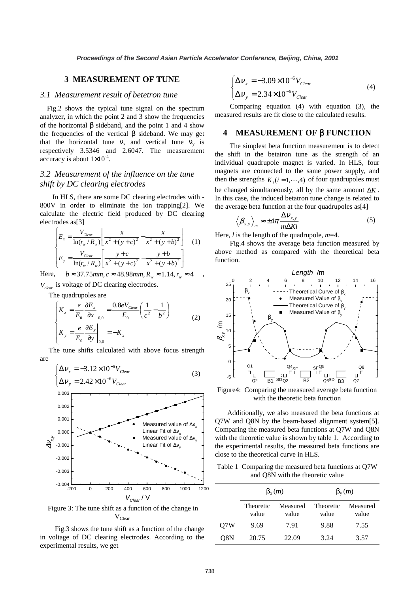# **3 MEASUREMENT OF TUNE**

#### *3.1 Measurement result of betetron tune*

Fig.2 shows the typical tune signal on the spectrum analyzer, in which the point 2 and 3 show the frequencies of the horizontal β sideband, and the point 1 and 4 show the frequencies of the vertical β sideband. We may get that the horizontal tune  $v_x$  and vertical tune  $v_y$  is respectively 3.5346 and 2.6047. The measurement accuracy is about  $1\times10^{-4}$ .

# *3.2 Measurement of the influence on the tune shift by DC clearing electrodes*

In HLS, there are some DC clearing electrodes with - 800V in order to eliminate the ion trapping[2]. We calculate the electric field produced by DC clearing electrodes as[3]

$$
\begin{cases}\nE_x = \frac{V_{Clear}}{\ln(r_w/R_w)} \left[ \frac{x}{x^2 + (y + c)^2} - \frac{x}{x^2 + (y + b)^2} \right] & (1) \\
E_y = \frac{V_{Clear}}{\ln(r_w/R_w)} \left[ \frac{y + c}{x^2 + (y + c)^2} - \frac{y + b}{x^2 + (y + b)^2} \right]\n\end{cases}
$$

Here, *b* ≈ 37.75*mm*, *c* ≈ 48.98*mm*,  $R_w$  ≈ 1.14,  $r_w$  ≈ 4

*Vclear* is voltage of DC clearing electrodes.

The quadrupoles are

$$
\begin{cases}\nK_x = \frac{e}{E_0} \frac{\partial E_x}{\partial x}\Big|_{0,0} = \frac{0.8eV_{Clear}}{E_0} \left(\frac{1}{c^2} - \frac{1}{b^2}\right) \\
K_y = \frac{e}{E_0} \frac{\partial E_y}{\partial y}\Big|_{0,0} = -K_x\n\end{cases}
$$
\n(2)

 The tune shifts calculated with above focus strength are

$$
\begin{cases}\n\Delta v_x = -3.12 \times 10^{-6} V_{Clear} \\
\Delta v_y = 2.42 \times 10^{-6} V_{Clear}\n\end{cases}
$$
\n(3)



 Figure 3: The tune shift as a function of the change in  $V_{Clear}$ 

Fig.3 shows the tune shift as a function of the change in voltage of DC clearing electrodes. According to the experimental results, we get

$$
\begin{cases}\n\Delta v_x = -3.09 \times 10^{-6} V_{Clear} \\
\Delta v_y = 2.34 \times 10^{-6} V_{Clear}\n\end{cases}
$$
\n(4)

Comparing equation (4) with equation (3), the measured results are fit close to the calculated results.

# **4 MEASUREMENT OF** β **FUNCTION**

The simplest beta function measurement is to detect the shift in the betatron tune as the strength of an individual quadrupole magnet is varied. In HLS, four magnets are connected to the same power supply, and then the strengths  $K_i$  ( $i = 1, \dots, 4$ ) of four quadrupoles must be changed simultaneously, all by the same amount ∆*K* . In this case, the induced betatron tune change is related to the average beta function at the four quadrupoles as[4]

$$
\left\langle \beta_{x,y} \right\rangle_m \approx \pm 4\pi \frac{\Delta V_{x,y}}{m\Delta Kl} \tag{5}
$$

Here, *l* is the length of the quadrupole, *m*=4.

Fig.4 shows the average beta function measured by above method as compared with the theoretical beta function.



Figure4: Comparing the measured average beta function with the theoretic beta function

 Additionally, we also measured the beta functions at Q7W and Q8N by the beam-based alignment system[5]. Comparing the measured beta functions at Q7W and Q8N with the theoretic value is shown by table 1. According to the experimental results, the measured beta functions are close to the theoretical curve in HLS.

Table 1 Comparing the measured beta functions at Q7W and Q8N with the theoretic value

|     | $\beta_x(m)$              |                   | $\beta_{v}(m)$     |                   |
|-----|---------------------------|-------------------|--------------------|-------------------|
|     | <b>Theoretic</b><br>value | Measured<br>value | Theoretic<br>value | Measured<br>value |
| O7W | 9.69                      | 7.91              | 9.88               | 7.55              |
| O8N | 20.75                     | 22.09             | 3.24               | 3.57              |